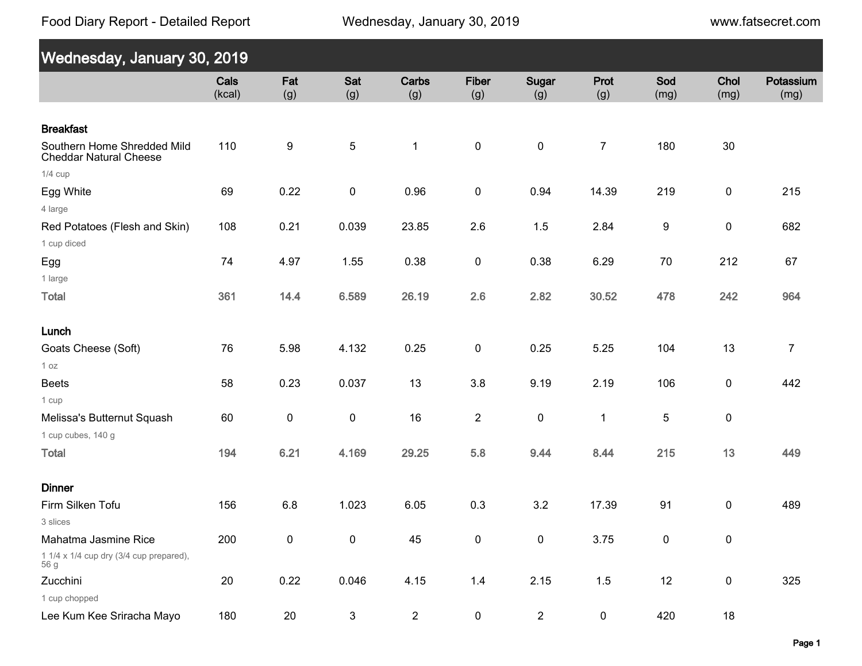Food Diary Report - Detailed Report

Wednesday, January 30, 2019

www.fatsecret.com

| Wednesday, January 30, 2019                                             |                |            |              |                |                     |                |                |             |              |                   |
|-------------------------------------------------------------------------|----------------|------------|--------------|----------------|---------------------|----------------|----------------|-------------|--------------|-------------------|
|                                                                         | Cals<br>(kcal) | Fat<br>(g) | Sat<br>(g)   | Carbs<br>(g)   | <b>Fiber</b><br>(g) | Sugar<br>(g)   | Prot<br>(g)    | Sod<br>(mg) | Chol<br>(mg) | Potassium<br>(mg) |
| <b>Breakfast</b>                                                        |                |            |              |                |                     |                |                |             |              |                   |
| Southern Home Shredded Mild<br><b>Cheddar Natural Cheese</b>            | 110            | 9          | $\sqrt{5}$   | $\mathbf 1$    | $\pmb{0}$           | $\pmb{0}$      | $\overline{7}$ | 180         | 30           |                   |
| $1/4$ cup                                                               |                |            |              |                |                     |                |                |             |              |                   |
| Egg White<br>4 large                                                    | 69             | 0.22       | $\pmb{0}$    | 0.96           | $\pmb{0}$           | 0.94           | 14.39          | 219         | $\pmb{0}$    | 215               |
| Red Potatoes (Flesh and Skin)<br>1 cup diced                            | 108            | 0.21       | 0.039        | 23.85          | 2.6                 | 1.5            | 2.84           | 9           | $\pmb{0}$    | 682               |
| Egg<br>1 large                                                          | 74             | 4.97       | 1.55         | 0.38           | 0                   | 0.38           | 6.29           | 70          | 212          | 67                |
| <b>Total</b>                                                            | 361            | 14.4       | 6.589        | 26.19          | 2.6                 | 2.82           | 30.52          | 478         | 242          | 964               |
| Lunch                                                                   |                |            |              |                |                     |                |                |             |              |                   |
| Goats Cheese (Soft)<br>1 oz                                             | 76             | 5.98       | 4.132        | 0.25           | $\pmb{0}$           | 0.25           | 5.25           | 104         | 13           | $\overline{7}$    |
| <b>Beets</b><br>1 cup                                                   | 58             | 0.23       | 0.037        | 13             | 3.8                 | 9.19           | 2.19           | 106         | $\pmb{0}$    | 442               |
| Melissa's Butternut Squash<br>1 cup cubes, 140 g                        | 60             | $\pmb{0}$  | $\pmb{0}$    | 16             | $\overline{2}$      | $\pmb{0}$      | $\mathbf 1$    | 5           | $\pmb{0}$    |                   |
| <b>Total</b>                                                            | 194            | 6.21       | 4.169        | 29.25          | 5.8                 | 9.44           | 8.44           | 215         | 13           | 449               |
| <b>Dinner</b>                                                           |                |            |              |                |                     |                |                |             |              |                   |
| Firm Silken Tofu<br>3 slices                                            | 156            | 6.8        | 1.023        | 6.05           | 0.3                 | 3.2            | 17.39          | 91          | $\pmb{0}$    | 489               |
| Mahatma Jasmine Rice<br>1 1/4 x 1/4 cup dry (3/4 cup prepared),<br>56 g | 200            | $\pmb{0}$  | $\pmb{0}$    | 45             | $\pmb{0}$           | $\pmb{0}$      | 3.75           | $\pmb{0}$   | $\pmb{0}$    |                   |
| Zucchini<br>1 cup chopped                                               | 20             | 0.22       | 0.046        | 4.15           | $1.4$               | 2.15           | $1.5$          | 12          | $\pmb{0}$    | 325               |
| Lee Kum Kee Sriracha Mayo                                               | 180            | 20         | $\mathbf{3}$ | $\overline{2}$ | $\pmb{0}$           | $\overline{2}$ | $\pmb{0}$      | 420         | $18$         |                   |